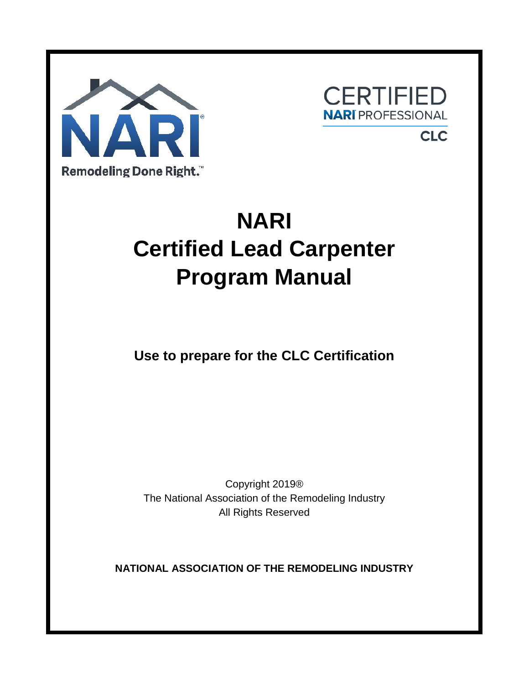

**CERTIFIEI NARI** PROFESSIONAL

**CLC** 

# **NARI Certified Lead Carpenter Program Manual**

**Use to prepare for the CLC Certification**

Copyright 2019® The National Association of the Remodeling Industry All Rights Reserved

**NATIONAL ASSOCIATION OF THE REMODELING INDUSTRY**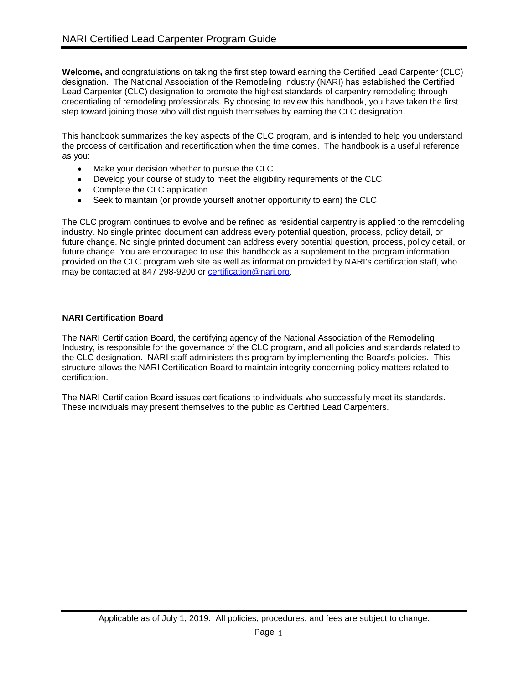**Welcome,** and congratulations on taking the first step toward earning the Certified Lead Carpenter (CLC) designation. The National Association of the Remodeling Industry (NARI) has established the Certified Lead Carpenter (CLC) designation to promote the highest standards of carpentry remodeling through credentialing of remodeling professionals. By choosing to review this handbook, you have taken the first step toward joining those who will distinguish themselves by earning the CLC designation.

This handbook summarizes the key aspects of the CLC program, and is intended to help you understand the process of certification and recertification when the time comes. The handbook is a useful reference as you:

- Make your decision whether to pursue the CLC
- Develop your course of study to meet the eligibility requirements of the CLC
- Complete the CLC application
- Seek to maintain (or provide yourself another opportunity to earn) the CLC

The CLC program continues to evolve and be refined as residential carpentry is applied to the remodeling industry. No single printed document can address every potential question, process, policy detail, or future change. No single printed document can address every potential question, process, policy detail, or future change. You are encouraged to use this handbook as a supplement to the program information provided on the CLC program web site as well as information provided by NARI's certification staff, who may be contacted at 847 298-9200 or [certification@nari.org.](mailto:Certification@nari.org)

#### **NARI Certification Board**

The NARI Certification Board, the certifying agency of the National Association of the Remodeling Industry, is responsible for the governance of the CLC program, and all policies and standards related to the CLC designation. NARI staff administers this program by implementing the Board's policies. This structure allows the NARI Certification Board to maintain integrity concerning policy matters related to certification.

The NARI Certification Board issues certifications to individuals who successfully meet its standards. These individuals may present themselves to the public as Certified Lead Carpenters.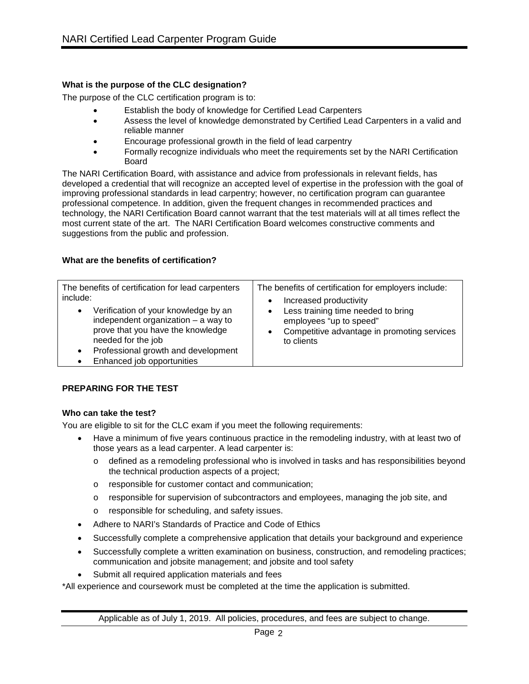# **What is the purpose of the CLC designation?**

The purpose of the CLC certification program is to:

- Establish the body of knowledge for Certified Lead Carpenters
- Assess the level of knowledge demonstrated by Certified Lead Carpenters in a valid and reliable manner
- Encourage professional growth in the field of lead carpentry
- Formally recognize individuals who meet the requirements set by the NARI Certification Board

The NARI Certification Board, with assistance and advice from professionals in relevant fields, has developed a credential that will recognize an accepted level of expertise in the profession with the goal of improving professional standards in lead carpentry; however, no certification program can guarantee professional competence. In addition, given the frequent changes in recommended practices and technology, the NARI Certification Board cannot warrant that the test materials will at all times reflect the most current state of the art. The NARI Certification Board welcomes constructive comments and suggestions from the public and profession.

#### **What are the benefits of certification?**

#### **PREPARING FOR THE TEST**

#### **Who can take the test?**

You are eligible to sit for the CLC exam if you meet the following requirements:

- Have a minimum of five years continuous practice in the remodeling industry, with at least two of those years as a lead carpenter. A lead carpenter is:
	- o defined as a remodeling professional who is involved in tasks and has responsibilities beyond the technical production aspects of a project;
	- o responsible for customer contact and communication;
	- o responsible for supervision of subcontractors and employees, managing the job site, and
	- o responsible for scheduling, and safety issues.
- Adhere to NARI's Standards of Practice and Code of Ethics
- Successfully complete a comprehensive application that details your background and experience
- Successfully complete a written examination on business, construction, and remodeling practices; communication and jobsite management; and jobsite and tool safety
- Submit all required application materials and fees

\*All experience and coursework must be completed at the time the application is submitted.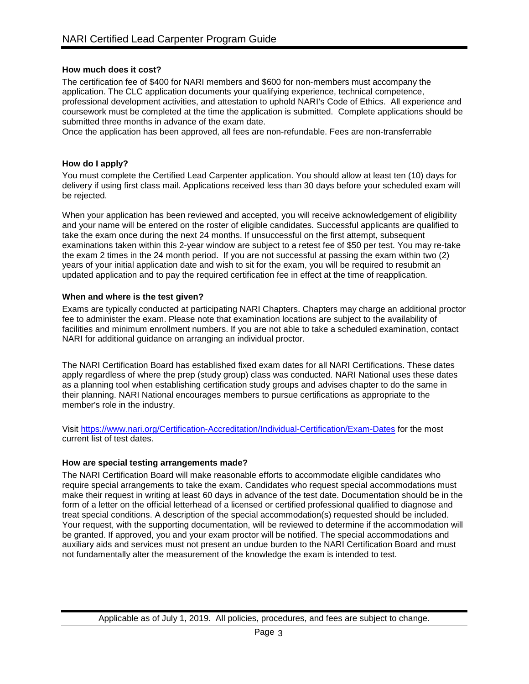# **How much does it cost?**

The certification fee of \$400 for NARI members and \$600 for non-members must accompany the application. The CLC application documents your qualifying experience, technical competence, professional development activities, and attestation to uphold NARI's Code of Ethics. All experience and coursework must be completed at the time the application is submitted. Complete applications should be submitted three months in advance of the exam date.

Once the application has been approved, all fees are non-refundable. Fees are non-transferrable

#### **How do I apply?**

You must complete the Certified Lead Carpenter application. You should allow at least ten (10) days for delivery if using first class mail. Applications received less than 30 days before your scheduled exam will be rejected.

When your application has been reviewed and accepted, you will receive acknowledgement of eligibility and your name will be entered on the roster of eligible candidates. Successful applicants are qualified to take the exam once during the next 24 months. If unsuccessful on the first attempt, subsequent examinations taken within this 2-year window are subject to a retest fee of \$50 per test. You may re-take the exam 2 times in the 24 month period. If you are not successful at passing the exam within two (2) years of your initial application date and wish to sit for the exam, you will be required to resubmit an updated application and to pay the required certification fee in effect at the time of reapplication.

#### **When and where is the test given?**

Exams are typically conducted at participating NARI Chapters. Chapters may charge an additional proctor fee to administer the exam. Please note that examination locations are subject to the availability of facilities and minimum enrollment numbers. If you are not able to take a scheduled examination, contact NARI for additional guidance on arranging an individual proctor.

The NARI Certification Board has established fixed exam dates for all NARI Certifications. These dates apply regardless of where the prep (study group) class was conducted. NARI National uses these dates as a planning tool when establishing certification study groups and advises chapter to do the same in their planning. NARI National encourages members to pursue certifications as appropriate to the member's role in the industry.

Visit<https://www.nari.org/Certification-Accreditation/Individual-Certification/Exam-Dates> for the most current list of test dates.

#### **How are special testing arrangements made?**

The NARI Certification Board will make reasonable efforts to accommodate eligible candidates who require special arrangements to take the exam. Candidates who request special accommodations must make their request in writing at least 60 days in advance of the test date. Documentation should be in the form of a letter on the official letterhead of a licensed or certified professional qualified to diagnose and treat special conditions. A description of the special accommodation(s) requested should be included. Your request, with the supporting documentation, will be reviewed to determine if the accommodation will be granted. If approved, you and your exam proctor will be notified. The special accommodations and auxiliary aids and services must not present an undue burden to the NARI Certification Board and must not fundamentally alter the measurement of the knowledge the exam is intended to test.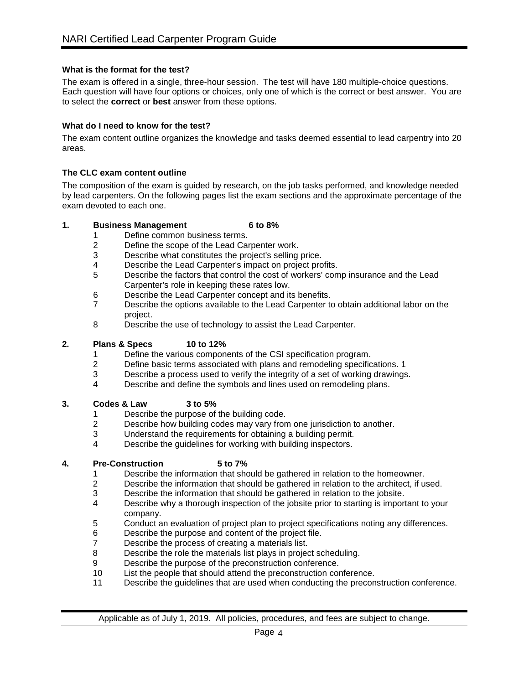### **What is the format for the test?**

The exam is offered in a single, three-hour session. The test will have 180 multiple-choice questions. Each question will have four options or choices, only one of which is the correct or best answer. You are to select the **correct** or **best** answer from these options.

### **What do I need to know for the test?**

The exam content outline organizes the knowledge and tasks deemed essential to lead carpentry into 20 areas.

#### **The CLC exam content outline**

The composition of the exam is guided by research, on the job tasks performed, and knowledge needed by lead carpenters. On the following pages list the exam sections and the approximate percentage of the exam devoted to each one.

#### **1. Business Management 6 to 8%**

- 1 Define common business terms.<br>2 Define the scope of the Lead Ca
- 2 Define the scope of the Lead Carpenter work.<br>3 Describe what constitutes the project's selling
- Describe what constitutes the project's selling price.
- 4 Describe the Lead Carpenter's impact on project profits.<br>5 Describe the factors that control the cost of workers' com
- Describe the factors that control the cost of workers' comp insurance and the Lead Carpenter's role in keeping these rates low.
- 6 Describe the Lead Carpenter concept and its benefits.
- 7 Describe the options available to the Lead Carpenter to obtain additional labor on the project.
- 8 Describe the use of technology to assist the Lead Carpenter.

#### **2. Plans & Specs 10 to 12%**

- 1 Define the various components of the CSI specification program.
- 2 Define basic terms associated with plans and remodeling specifications. 1
- 3 Describe a process used to verify the integrity of a set of working drawings.<br>4 Describe and define the symbols and lines used on remodeling plans.
- Describe and define the symbols and lines used on remodeling plans.

#### **3. Codes & Law 3 to 5%**

- 1 Describe the purpose of the building code.<br>2 Describe how building codes may vary fron
- Describe how building codes may vary from one jurisdiction to another.
- 3 Understand the requirements for obtaining a building permit.
- 4 Describe the guidelines for working with building inspectors.

# **4. Pre-Construction 5 to 7%**

- 1 Describe the information that should be gathered in relation to the homeowner.<br>2 Describe the information that should be gathered in relation to the architect. if u
- 2 Describe the information that should be gathered in relation to the architect, if used.
- 3 Describe the information that should be gathered in relation to the jobsite.
- 4 Describe why a thorough inspection of the jobsite prior to starting is important to your company.
- 5 Conduct an evaluation of project plan to project specifications noting any differences.
- 6 Describe the purpose and content of the project file.<br>7 Describe the process of creating a materials list.
- Describe the process of creating a materials list.
- 8 Describe the role the materials list plays in project scheduling.
- 9 Describe the purpose of the preconstruction conference.<br>10 List the people that should attend the preconstruction con
- List the people that should attend the preconstruction conference.
- 11 Describe the guidelines that are used when conducting the preconstruction conference.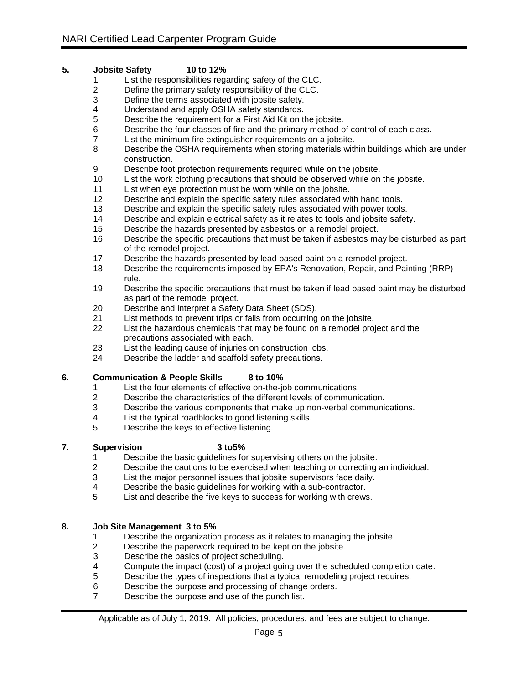### **5. Jobsite Safety 10 to 12%**

- 1 List the responsibilities regarding safety of the CLC.<br>2 Define the primary safety responsibility of the CLC.
- 2 Define the primary safety responsibility of the CLC.<br>3 Define the terms associated with jobsite safety.
- 3 Define the terms associated with jobsite safety.<br>4 Understand and apply OSHA safety standards.
- Understand and apply OSHA safety standards.
- 5 Describe the requirement for a First Aid Kit on the jobsite.
- 6 Describe the four classes of fire and the primary method of control of each class.
- 7 List the minimum fire extinguisher requirements on a jobsite.
- Describe the OSHA requirements when storing materials within buildings which are under construction.
- 9 Describe foot protection requirements required while on the jobsite.
- 10 List the work clothing precautions that should be observed while on the jobsite.
- 11 List when eye protection must be worn while on the jobsite.<br>12 Describe and explain the specific safety rules associated wi
- 12 Describe and explain the specific safety rules associated with hand tools.<br>13 Describe and explain the specific safety rules associated with power tools
- 13 Describe and explain the specific safety rules associated with power tools.<br>14 Describe and explain electrical safety as it relates to tools and jobsite safet
- Describe and explain electrical safety as it relates to tools and jobsite safety.
- 15 Describe the hazards presented by asbestos on a remodel project.<br>16 Describe the specific precautions that must be taken if asbestos ma
- Describe the specific precautions that must be taken if asbestos may be disturbed as part of the remodel project.
- 17 Describe the hazards presented by lead based paint on a remodel project.
- 18 Describe the requirements imposed by EPA's Renovation, Repair, and Painting (RRP) rule.
- 19 Describe the specific precautions that must be taken if lead based paint may be disturbed as part of the remodel project.
- 20 Describe and interpret a Safety Data Sheet (SDS).<br>21 List methods to prevent trips or falls from occurring
- List methods to prevent trips or falls from occurring on the jobsite.
- 22 List the hazardous chemicals that may be found on a remodel project and the precautions associated with each.
- 23 List the leading cause of injuries on construction jobs.<br>24 Describe the ladder and scaffold safety precautions.
- Describe the ladder and scaffold safety precautions.

#### **6. Communication & People Skills 8 to 10%**

- 1 List the four elements of effective on-the-job communications.
- 2 Describe the characteristics of the different levels of communication.
- 3 Describe the various components that make up non-verbal communications.<br>4 List the typical roadblocks to good listening skills.
- List the typical roadblocks to good listening skills.
- 5 Describe the keys to effective listening.

### **7. Supervision 3 to5%**

- 1 Describe the basic guidelines for supervising others on the jobsite.
- 2 Describe the cautions to be exercised when teaching or correcting an individual.<br>3 list the major personnel issues that jobsite supervisors face daily
- List the major personnel issues that jobsite supervisors face daily.
- 4 Describe the basic guidelines for working with a sub-contractor.
- 5 List and describe the five keys to success for working with crews.

#### **8. Job Site Management 3 to 5%**

- 1 Describe the organization process as it relates to managing the jobsite.<br>2 Describe the paperwork required to be kept on the jobsite.
- Describe the paperwork required to be kept on the jobsite.
- 3 Describe the basics of project scheduling.
- 4 Compute the impact (cost) of a project going over the scheduled completion date.<br>5 Describe the types of inspections that a typical remodeling project requires.
- Describe the types of inspections that a typical remodeling project requires.
- 6 Describe the purpose and processing of change orders.
- 7 Describe the purpose and use of the punch list.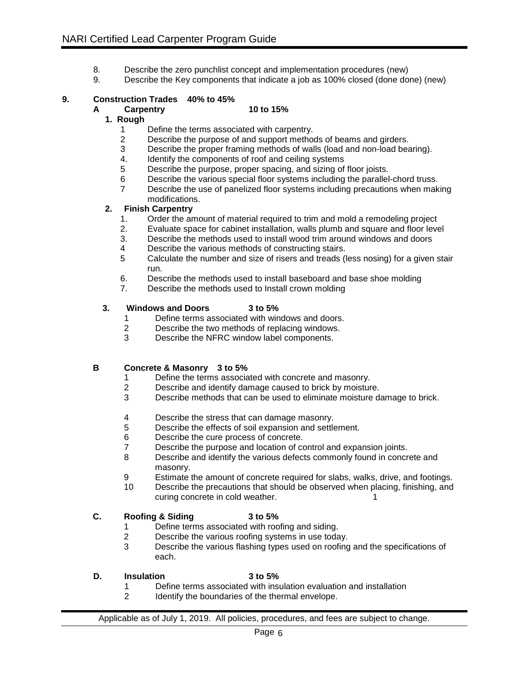- 8. Describe the zero punchlist concept and implementation procedures (new)
- 9. Describe the Key components that indicate a job as 100% closed (done done) (new)

# **9. Construction Trades 40% to 45%**

#### **A Carpentry 10 to 15%**

### **1. Rough**

- 1 Define the terms associated with carpentry.
- 2 Describe the purpose of and support methods of beams and girders.<br>3 Describe the proper framing methods of walls (load and non-load bea
- 3 Describe the proper framing methods of walls (load and non-load bearing).<br>4. Identify the components of roof and ceiling systems
- Identify the components of roof and ceiling systems
- 5 Describe the purpose, proper spacing, and sizing of floor joists.
- 6 Describe the various special floor systems including the parallel-chord truss.
- 7 Describe the use of panelized floor systems including precautions when making modifications.

#### **2. Finish Carpentry**

- 1. Order the amount of material required to trim and mold a remodeling project
- 2. Evaluate space for cabinet installation, walls plumb and square and floor level
- 3. Describe the methods used to install wood trim around windows and doors
- 4 Describe the various methods of constructing stairs.
- 5 Calculate the number and size of risers and treads (less nosing) for a given stair run.
- 6. Describe the methods used to install baseboard and base shoe molding
- 7. Describe the methods used to Install crown molding

#### **3. Windows and Doors 3 to 5%**

- 1 Define terms associated with windows and doors.<br>2 Describe the two methods of replacing windows.
- Describe the two methods of replacing windows.
- 3 Describe the NFRC window label components.

# **B Concrete & Masonry 3 to 5%**

- 1 Define the terms associated with concrete and masonry.
- 2 Describe and identify damage caused to brick by moisture.
- 3 Describe methods that can be used to eliminate moisture damage to brick.
- 
- 4 Describe the stress that can damage masonry.<br>5 Describe the effects of soil expansion and settle 5 Describe the effects of soil expansion and settlement.<br>6 Describe the cure process of concrete.
- 6 Describe the cure process of concrete.<br>
7 Describe the purpose and location of co
- 7 Describe the purpose and location of control and expansion joints.<br>8 Describe and identify the various defects commonly found in concre
- Describe and identify the various defects commonly found in concrete and masonry.
- 9 Estimate the amount of concrete required for slabs, walks, drive, and footings.
- 10 Describe the precautions that should be observed when placing, finishing, and curing concrete in cold weather.

#### **C. Roofing & Siding 3 to 5%**

- 1 Define terms associated with roofing and siding.<br>2 Describe the various roofing systems in use toda
- 2 Describe the various roofing systems in use today.<br>3 Describe the various flashing types used on roofing
- Describe the various flashing types used on roofing and the specifications of each.
- **D. Insulation 3 to 5%**

- 1 Define terms associated with insulation evaluation and installation
- 2 Identify the boundaries of the thermal envelope.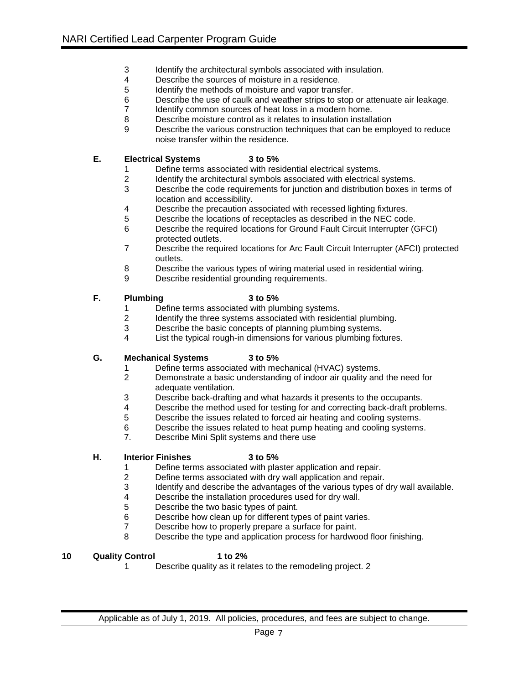- 3 Identify the architectural symbols associated with insulation.
- 4 Describe the sources of moisture in a residence.<br>5 Identify the methods of moisture and vapor transf
- 5 Identify the methods of moisture and vapor transfer.<br>6 Describe the use of caulk and weather strips to stop
- 6 Describe the use of caulk and weather strips to stop or attenuate air leakage.<br>7 Identify common sources of heat loss in a modern home.
- Identify common sources of heat loss in a modern home.
- 8 Describe moisture control as it relates to insulation installation
- 9 Describe the various construction techniques that can be employed to reduce noise transfer within the residence.

#### **E. Electrical Systems 3 to 5%**

- 1 Define terms associated with residential electrical systems.
- 2 Identify the architectural symbols associated with electrical systems.
- 3 Describe the code requirements for junction and distribution boxes in terms of location and accessibility.
- 4 Describe the precaution associated with recessed lighting fixtures.<br>5 Describe the locations of receptacles as described in the NEC code
- 5 Describe the locations of receptacles as described in the NEC code.
- 6 Describe the required locations for Ground Fault Circuit Interrupter (GFCI) protected outlets.
- 7 Describe the required locations for Arc Fault Circuit Interrupter (AFCI) protected outlets.
- 8 Describe the various types of wiring material used in residential wiring.
- 9 Describe residential grounding requirements.

#### **F. Plumbing 3 to 5%**

- 1 Define terms associated with plumbing systems.<br>2 Identify the three systems associated with resider
- 2 Identify the three systems associated with residential plumbing.<br>3 Describe the basic concepts of planning plumbing systems.
- Describe the basic concepts of planning plumbing systems.
- 4 List the typical rough-in dimensions for various plumbing fixtures.

#### **G. Mechanical Systems 3 to 5%**

- 1 Define terms associated with mechanical (HVAC) systems.
- 2 Demonstrate a basic understanding of indoor air quality and the need for adequate ventilation.
- 3 Describe back-drafting and what hazards it presents to the occupants.
- 4 Describe the method used for testing for and correcting back-draft problems.<br>5 Describe the issues related to forced air heating and cooling systems.
- 
- 5 Describe the issues related to forced air heating and cooling systems.<br>6 Describe the issues related to heat pump heating and cooling systems 6 Describe the issues related to heat pump heating and cooling systems.<br>7. Describe Mini Split systems and there use
- Describe Mini Split systems and there use

#### **H. Interior Finishes 3 to 5%**

- 1 Define terms associated with plaster application and repair.<br>2 Define terms associated with dry wall application and repair.
- 2 Define terms associated with dry wall application and repair.<br>3 Identify and describe the advantages of the various types of o
- Identify and describe the advantages of the various types of dry wall available.
- 4 Describe the installation procedures used for dry wall.<br>5 Describe the two basic types of paint.
- 5 Describe the two basic types of paint.<br>6 Describe how clean up for different type
- Describe how clean up for different types of paint varies.
- 7 Describe how to properly prepare a surface for paint.<br>8 Describe the type and application process for hardwo
- Describe the type and application process for hardwood floor finishing.

#### **10 Quality Control 1 to 2%**

1 Describe quality as it relates to the remodeling project. 2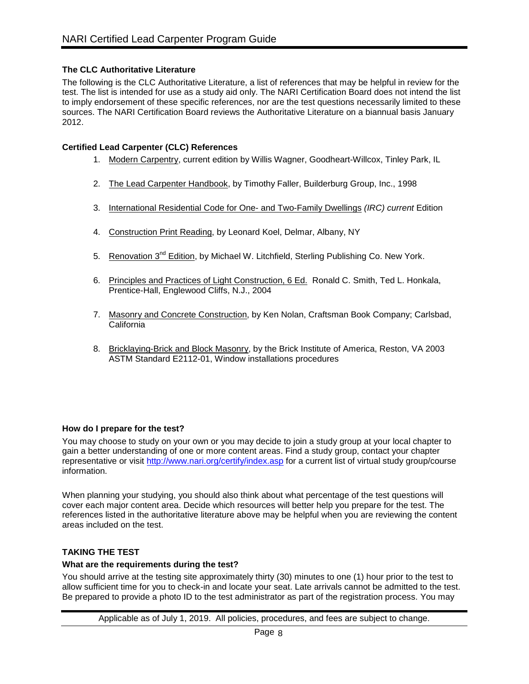# **The CLC Authoritative Literature**

The following is the CLC Authoritative Literature, a list of references that may be helpful in review for the test. The list is intended for use as a study aid only. The NARI Certification Board does not intend the list to imply endorsement of these specific references, nor are the test questions necessarily limited to these sources. The NARI Certification Board reviews the Authoritative Literature on a biannual basis January 2012.

### **Certified Lead Carpenter (CLC) References**

- 1. Modern Carpentry, current edition by Willis Wagner, Goodheart-Willcox, Tinley Park, IL
- 2. The Lead Carpenter Handbook, by Timothy Faller, Builderburg Group, Inc., 1998
- 3. International Residential Code for One- and Two-Family Dwellings *(IRC) current* Edition
- 4. Construction Print Reading, by Leonard Koel, Delmar, Albany, NY
- 5. Renovation 3<sup>nd</sup> Edition, by Michael W. Litchfield, Sterling Publishing Co. New York.
- 6. Principles and Practices of Light Construction, 6 Ed. Ronald C. Smith, Ted L. Honkala, Prentice-Hall, Englewood Cliffs, N.J., 2004
- 7. Masonry and Concrete Construction, by Ken Nolan, Craftsman Book Company; Carlsbad, **California**
- 8. Bricklaying-Brick and Block Masonry, by the Brick Institute of America, Reston, VA 2003 ASTM Standard E2112-01, Window installations procedures

#### **How do I prepare for the test?**

You may choose to study on your own or you may decide to join a study group at your local chapter to gain a better understanding of one or more content areas. Find a study group, contact your chapter representative or visit<http://www.nari.org/certify/index.asp> for a current list of virtual study group/course information.

When planning your studying, you should also think about what percentage of the test questions will cover each major content area. Decide which resources will better help you prepare for the test. The references listed in the authoritative literature above may be helpful when you are reviewing the content areas included on the test.

#### **TAKING THE TEST**

### **What are the requirements during the test?**

You should arrive at the testing site approximately thirty (30) minutes to one (1) hour prior to the test to allow sufficient time for you to check-in and locate your seat. Late arrivals cannot be admitted to the test. Be prepared to provide a photo ID to the test administrator as part of the registration process. You may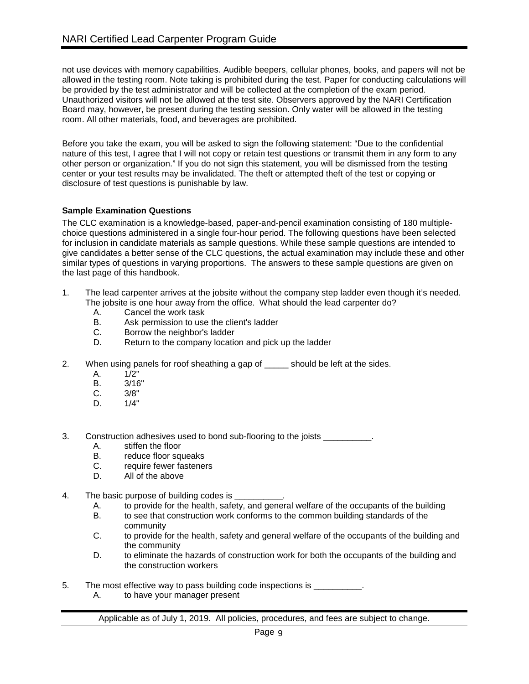not use devices with memory capabilities. Audible beepers, cellular phones, books, and papers will not be allowed in the testing room. Note taking is prohibited during the test. Paper for conducting calculations will be provided by the test administrator and will be collected at the completion of the exam period. Unauthorized visitors will not be allowed at the test site. Observers approved by the NARI Certification Board may, however, be present during the testing session. Only water will be allowed in the testing room. All other materials, food, and beverages are prohibited.

Before you take the exam, you will be asked to sign the following statement: "Due to the confidential nature of this test, I agree that I will not copy or retain test questions or transmit them in any form to any other person or organization." If you do not sign this statement, you will be dismissed from the testing center or your test results may be invalidated. The theft or attempted theft of the test or copying or disclosure of test questions is punishable by law.

# **Sample Examination Questions**

The CLC examination is a knowledge-based, paper-and-pencil examination consisting of 180 multiplechoice questions administered in a single four-hour period. The following questions have been selected for inclusion in candidate materials as sample questions. While these sample questions are intended to give candidates a better sense of the CLC questions, the actual examination may include these and other similar types of questions in varying proportions. The answers to these sample questions are given on the last page of this handbook.

- 1. The lead carpenter arrives at the jobsite without the company step ladder even though it's needed. The jobsite is one hour away from the office. What should the lead carpenter do?
	- A. Cancel the work task<br>B. Ask permission to use
	- Ask permission to use the client's ladder
	- C. Borrow the neighbor's ladder<br>D. Return to the company location
	- Return to the company location and pick up the ladder
- 2. When using panels for roof sheathing a gap of should be left at the sides.
	- A. 1/2"
	- B. 3/16"
	- C. 3/8"
	- D. 1/4"
- 3. Construction adhesives used to bond sub-flooring to the joists \_\_\_\_\_\_\_\_\_\_.<br>A. stiffen the floor
	- stiffen the floor
	- B. reduce floor squeaks
	- C. require fewer fasteners
	- D. All of the above
- 4. The basic purpose of building codes is \_\_\_\_\_\_\_\_\_\_.
	- A. to provide for the health, safety, and general welfare of the occupants of the building
	- B. to see that construction work conforms to the common building standards of the community
	- C. to provide for the health, safety and general welfare of the occupants of the building and the community
	- D. to eliminate the hazards of construction work for both the occupants of the building and the construction workers
- 5. The most effective way to pass building code inspections is  $\qquad \qquad$ .
	- A. to have your manager present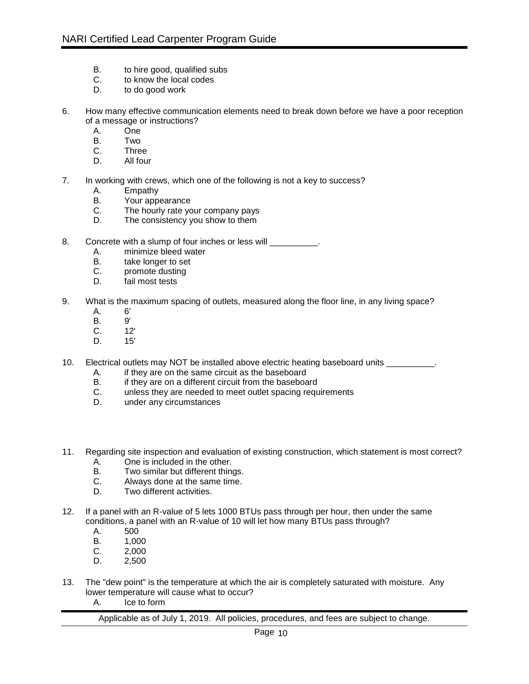- B. to hire good, qualified subs
- C. to know the local codes<br>D. to do good work
- to do good work
- 6. How many effective communication elements need to break down before we have a poor reception of a message or instructions?
	- A. One<br>B. Two
	- B. Two<br>C. Three
	- **Three**
	- D. All four
- 7. In working with crews, which one of the following is not a key to success?
	- A. Empathy
	- B. Your appearance<br>C. The hourly rate you
	- The hourly rate your company pays
	- D. The consistency you show to them
- 8. Concrete with a slump of four inches or less will \_\_\_\_\_\_\_\_\_\_.
	- A. minimize bleed water<br>B. take longer to set
	- B. take longer to set<br>C. promote dusting
	- C. promote dusting<br>D. fail most tests
	- fail most tests
- 9. What is the maximum spacing of outlets, measured along the floor line, in any living space?<br>A. 6'
	- A. 6'
	- B. 9'<br>C. 12'
	- $C_{1}$
	- D. 15'

10. Electrical outlets may NOT be installed above electric heating baseboard units

- A. if they are on the same circuit as the baseboard
- B. if they are on a different circuit from the baseboard<br>C. unless they are needed to meet outlet spacing regu
- C. unless they are needed to meet outlet spacing requirements<br>D. under any circumstances
- under any circumstances
- 11. Regarding site inspection and evaluation of existing construction, which statement is most correct?
	- A. One is included in the other.<br>B. Two similar but different thin
	- Two similar but different things.
	- C. Always done at the same time.
	- D. Two different activities.
- 12. If a panel with an R-value of 5 lets 1000 BTUs pass through per hour, then under the same conditions, a panel with an R-value of 10 will let how many BTUs pass through?
	-
	- A. 500<br>B. 1.00 B. 1,000<br>C. 2,000
	- C. 2,000
	- D. 2,500
- 13. The "dew point" is the temperature at which the air is completely saturated with moisture. Any lower temperature will cause what to occur?
	- A. Ice to form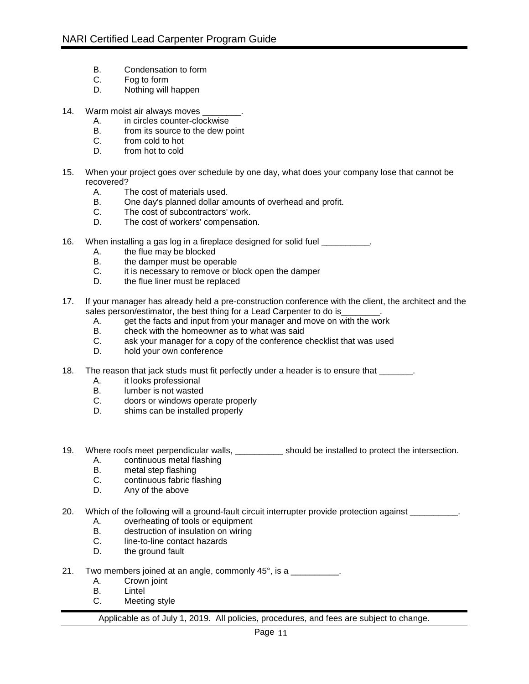- B. Condensation to form
- C. Fog to form<br>D. Nothing will
- Nothing will happen
- 14. Warm moist air always moves
	- A. in circles counter-clockwise
	- B. from its source to the dew point<br>C. from cold to hot
	- from cold to hot
	- D. from hot to cold
- 15. When your project goes over schedule by one day, what does your company lose that cannot be recovered?
	- A. The cost of materials used.<br>B. One day's planned dollar an
	- One day's planned dollar amounts of overhead and profit.
	- C. The cost of subcontractors' work.
	- D. The cost of workers' compensation.
- 16. When installing a gas log in a fireplace designed for solid fuel \_\_\_\_\_\_\_\_\_\_.
	- A. the flue may be blocked<br>B. the damper must be ope
	- B. the damper must be operable<br>C. it is necessary to remove or blo
	- it is necessary to remove or block open the damper
	- D. the flue liner must be replaced
- 17. If your manager has already held a pre-construction conference with the client, the architect and the sales person/estimator, the best thing for a Lead Carpenter to do is\_
	- A. get the facts and input from your manager and move on with the work
	- B. check with the homeowner as to what was said
	- C. ask your manager for a copy of the conference checklist that was used
	- D. hold your own conference
- 18. The reason that jack studs must fit perfectly under a header is to ensure that \_\_\_\_\_\_.
	- A. it looks professional<br>B. lumber is not wasted
	- B. lumber is not wasted<br>C. doors or windows ope
	- C. doors or windows operate properly<br>D. shims can be installed properly
	- shims can be installed properly
- 19. Where roofs meet perpendicular walls, \_\_\_\_\_\_\_\_\_\_ should be installed to protect the intersection.
	- A. continuous metal flashing<br>B. metal step flashing
	-
	- B. metal step flashing<br>C. continuous fabric fla continuous fabric flashing
	- D. Any of the above
- 20. Which of the following will a ground-fault circuit interrupter provide protection against \_\_\_\_\_\_\_\_\_.
	- A. overheating of tools or equipment
	- B. destruction of insulation on wiring<br>C. line-to-line contact hazards
	- C. line-to-line contact hazards<br>D. the ground fault
	- the ground fault
- 21. Two members joined at an angle, commonly 45°, is a \_\_\_\_\_\_\_\_\_\_.
	- A. Crown joint
	- B. Lintel<br>C. Meetir
	- Meeting style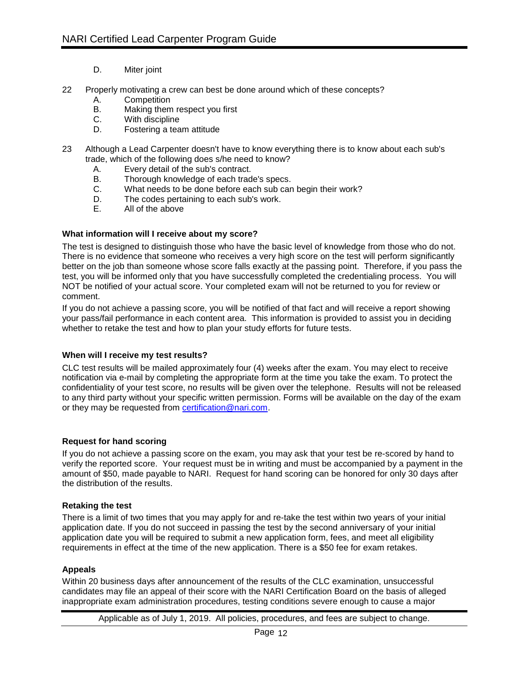- D. Miter joint
- 22 Properly motivating a crew can best be done around which of these concepts?
	- A. Competition
	- B. Making them respect you first
	- C. With discipline
	- D. Fostering a team attitude
- 23 Although a Lead Carpenter doesn't have to know everything there is to know about each sub's trade, which of the following does s/he need to know?
	- A. Every detail of the sub's contract.
	- B. Thorough knowledge of each trade's specs.
	- C. What needs to be done before each sub can begin their work?
	- D. The codes pertaining to each sub's work.<br>E. All of the above
	- All of the above

#### **What information will I receive about my score?**

The test is designed to distinguish those who have the basic level of knowledge from those who do not. There is no evidence that someone who receives a very high score on the test will perform significantly better on the job than someone whose score falls exactly at the passing point. Therefore, if you pass the test, you will be informed only that you have successfully completed the credentialing process. You will NOT be notified of your actual score. Your completed exam will not be returned to you for review or comment.

If you do not achieve a passing score, you will be notified of that fact and will receive a report showing your pass/fail performance in each content area. This information is provided to assist you in deciding whether to retake the test and how to plan your study efforts for future tests.

#### **When will I receive my test results?**

CLC test results will be mailed approximately four (4) weeks after the exam. You may elect to receive notification via e-mail by completing the appropriate form at the time you take the exam. To protect the confidentiality of your test score, no results will be given over the telephone. Results will not be released to any third party without your specific written permission. Forms will be available on the day of the exam or they may be requested from [certification@nari.com.](mailto:certification@nari.com)

#### **Request for hand scoring**

If you do not achieve a passing score on the exam, you may ask that your test be re-scored by hand to verify the reported score. Your request must be in writing and must be accompanied by a payment in the amount of \$50, made payable to NARI. Request for hand scoring can be honored for only 30 days after the distribution of the results.

#### **Retaking the test**

There is a limit of two times that you may apply for and re-take the test within two years of your initial application date. If you do not succeed in passing the test by the second anniversary of your initial application date you will be required to submit a new application form, fees, and meet all eligibility requirements in effect at the time of the new application. There is a \$50 fee for exam retakes.

#### **Appeals**

Within 20 business days after announcement of the results of the CLC examination, unsuccessful candidates may file an appeal of their score with the NARI Certification Board on the basis of alleged inappropriate exam administration procedures, testing conditions severe enough to cause a major